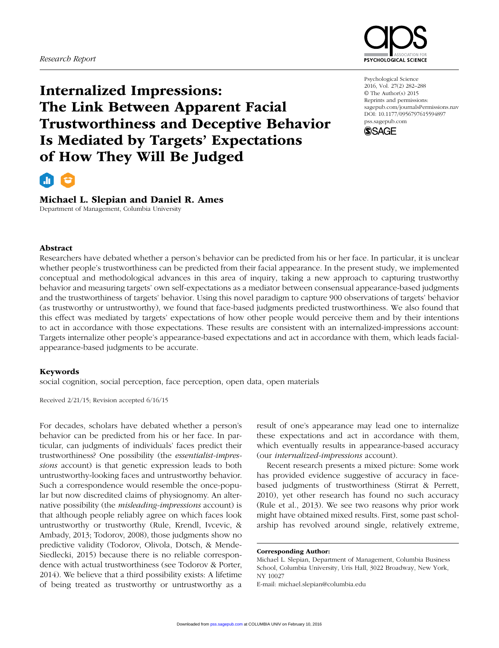

Psychological Science 2016, Vol. 27(2) 282–288 © The Author(s) 2015 Reprints and permissions: sagepub.com/journalsPermissions.nav DOI: 10.1177/0956797615594897 pss.sagepub.com



# Internalized Impressions: The Link Between Apparent Facial Trustworthiness and Deceptive Behavior Is Mediated by Targets' Expectations of How They Will Be Judged



# Michael L. Slepian and Daniel R. Ames

Department of Management, Columbia University

## Abstract

Researchers have debated whether a person's behavior can be predicted from his or her face. In particular, it is unclear whether people's trustworthiness can be predicted from their facial appearance. In the present study, we implemented conceptual and methodological advances in this area of inquiry, taking a new approach to capturing trustworthy behavior and measuring targets' own self-expectations as a mediator between consensual appearance-based judgments and the trustworthiness of targets' behavior. Using this novel paradigm to capture 900 observations of targets' behavior (as trustworthy or untrustworthy), we found that face-based judgments predicted trustworthiness. We also found that this effect was mediated by targets' expectations of how other people would perceive them and by their intentions to act in accordance with those expectations. These results are consistent with an internalized-impressions account: Targets internalize other people's appearance-based expectations and act in accordance with them, which leads facialappearance-based judgments to be accurate.

# Keywords

social cognition, social perception, face perception, open data, open materials

Received 2/21/15; Revision accepted 6/16/15

For decades, scholars have debated whether a person's behavior can be predicted from his or her face. In particular, can judgments of individuals' faces predict their trustworthiness? One possibility (the *essentialist-impressions* account) is that genetic expression leads to both untrustworthy-looking faces and untrustworthy behavior. Such a correspondence would resemble the once-popular but now discredited claims of physiognomy. An alternative possibility (the *misleading-impressions* account) is that although people reliably agree on which faces look untrustworthy or trustworthy (Rule, Krendl, Ivcevic, & Ambady, 2013; Todorov, 2008), those judgments show no predictive validity (Todorov, Olivola, Dotsch, & Mende-Siedlecki, 2015) because there is no reliable correspondence with actual trustworthiness (see Todorov & Porter, 2014). We believe that a third possibility exists: A lifetime of being treated as trustworthy or untrustworthy as a

result of one's appearance may lead one to internalize these expectations and act in accordance with them, which eventually results in appearance-based accuracy (our *internalized-impressions* account).

Recent research presents a mixed picture: Some work has provided evidence suggestive of accuracy in facebased judgments of trustworthiness (Stirrat & Perrett, 2010), yet other research has found no such accuracy (Rule et al., 2013). We see two reasons why prior work might have obtained mixed results. First, some past scholarship has revolved around single, relatively extreme,

#### Corresponding Author:

Michael L. Slepian, Department of Management, Columbia Business School, Columbia University, Uris Hall, 3022 Broadway, New York, NY 10027

E-mail: michael.slepian@columbia.edu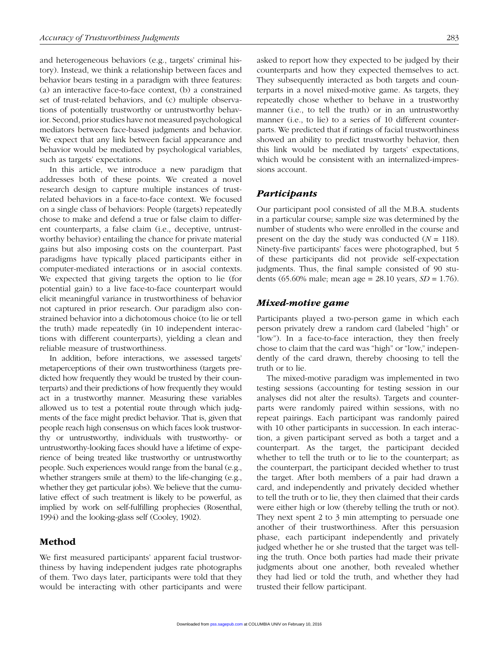and heterogeneous behaviors (e.g., targets' criminal history). Instead, we think a relationship between faces and behavior bears testing in a paradigm with three features: (a) an interactive face-to-face context, (b) a constrained set of trust-related behaviors, and (c) multiple observations of potentially trustworthy or untrustworthy behavior. Second, prior studies have not measured psychological mediators between face-based judgments and behavior. We expect that any link between facial appearance and behavior would be mediated by psychological variables, such as targets' expectations.

In this article, we introduce a new paradigm that addresses both of these points. We created a novel research design to capture multiple instances of trustrelated behaviors in a face-to-face context. We focused on a single class of behaviors: People (targets) repeatedly chose to make and defend a true or false claim to different counterparts, a false claim (i.e., deceptive, untrustworthy behavior) entailing the chance for private material gains but also imposing costs on the counterpart. Past paradigms have typically placed participants either in computer-mediated interactions or in asocial contexts. We expected that giving targets the option to lie (for potential gain) to a live face-to-face counterpart would elicit meaningful variance in trustworthiness of behavior not captured in prior research. Our paradigm also constrained behavior into a dichotomous choice (to lie or tell the truth) made repeatedly (in 10 independent interactions with different counterparts), yielding a clean and reliable measure of trustworthiness.

In addition, before interactions, we assessed targets' metaperceptions of their own trustworthiness (targets predicted how frequently they would be trusted by their counterparts) and their predictions of how frequently they would act in a trustworthy manner. Measuring these variables allowed us to test a potential route through which judgments of the face might predict behavior. That is, given that people reach high consensus on which faces look trustworthy or untrustworthy, individuals with trustworthy- or untrustworthy-looking faces should have a lifetime of experience of being treated like trustworthy or untrustworthy people. Such experiences would range from the banal (e.g., whether strangers smile at them) to the life-changing (e.g., whether they get particular jobs). We believe that the cumulative effect of such treatment is likely to be powerful, as implied by work on self-fulfilling prophecies (Rosenthal, 1994) and the looking-glass self (Cooley, 1902).

## Method

We first measured participants' apparent facial trustworthiness by having independent judges rate photographs of them. Two days later, participants were told that they would be interacting with other participants and were asked to report how they expected to be judged by their counterparts and how they expected themselves to act. They subsequently interacted as both targets and counterparts in a novel mixed-motive game. As targets, they repeatedly chose whether to behave in a trustworthy manner (i.e., to tell the truth) or in an untrustworthy manner (i.e., to lie) to a series of 10 different counterparts. We predicted that if ratings of facial trustworthiness showed an ability to predict trustworthy behavior, then this link would be mediated by targets' expectations, which would be consistent with an internalized-impressions account.

## *Participants*

Our participant pool consisted of all the M.B.A. students in a particular course; sample size was determined by the number of students who were enrolled in the course and present on the day the study was conducted (*N* = 118). Ninety-five participants' faces were photographed, but 5 of these participants did not provide self-expectation judgments. Thus, the final sample consisted of 90 students (65.60% male; mean age = 28.10 years, *SD* = 1.76).

#### *Mixed-motive game*

Participants played a two-person game in which each person privately drew a random card (labeled "high" or "low"). In a face-to-face interaction, they then freely chose to claim that the card was "high" or "low," independently of the card drawn, thereby choosing to tell the truth or to lie.

The mixed-motive paradigm was implemented in two testing sessions (accounting for testing session in our analyses did not alter the results). Targets and counterparts were randomly paired within sessions, with no repeat pairings. Each participant was randomly paired with 10 other participants in succession. In each interaction, a given participant served as both a target and a counterpart. As the target, the participant decided whether to tell the truth or to lie to the counterpart; as the counterpart, the participant decided whether to trust the target. After both members of a pair had drawn a card, and independently and privately decided whether to tell the truth or to lie, they then claimed that their cards were either high or low (thereby telling the truth or not). They next spent 2 to 3 min attempting to persuade one another of their trustworthiness. After this persuasion phase, each participant independently and privately judged whether he or she trusted that the target was telling the truth. Once both parties had made their private judgments about one another, both revealed whether they had lied or told the truth, and whether they had trusted their fellow participant.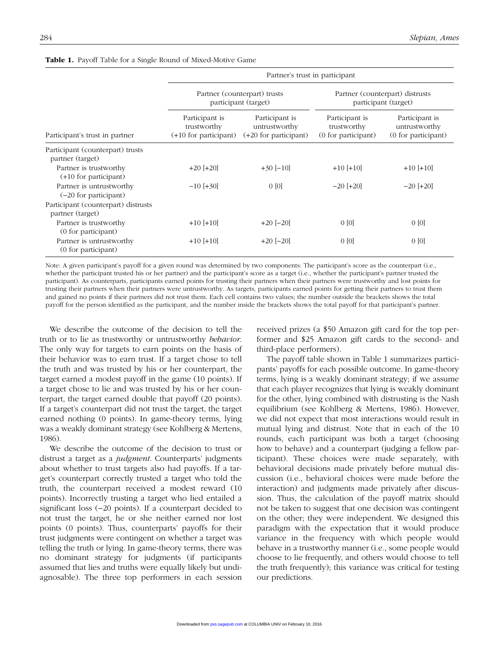|                                                         | Partner's trust in participant                         |                                                          |                                                         |                                                        |  |
|---------------------------------------------------------|--------------------------------------------------------|----------------------------------------------------------|---------------------------------------------------------|--------------------------------------------------------|--|
|                                                         | Partner (counterpart) trusts<br>participant (target)   |                                                          | Partner (counterpart) distrusts<br>participant (target) |                                                        |  |
| Participant's trust in partner                          | Participant is<br>trustworthy<br>(+10 for participant) | Participant is<br>untrustworthy<br>(+20 for participant) | Participant is<br>trustworthy<br>(0 for participant)    | Participant is<br>untrustworthy<br>(0 for participant) |  |
| Participant (counterpart) trusts<br>partner (target)    |                                                        |                                                          |                                                         |                                                        |  |
| Partner is trustworthy<br>$(+10$ for participant)       | $+20$ [ $+20$ ]                                        | $+30[-10]$                                               | $+10$ [ $+10$ ]                                         | $+10$ [ $+10$ ]                                        |  |
| Partner is untrustworthy<br>$(-20)$ for participant)    | $-10$ [ $+30$ ]                                        | 0 <sub>0</sub>                                           | $-20$ [ $+20$ ]                                         | $-20$ [ $+20$ ]                                        |  |
| Participant (counterpart) distrusts<br>partner (target) |                                                        |                                                          |                                                         |                                                        |  |
| Partner is trustworthy<br>(0 for participant)           | $+10$ [ $+10$ ]                                        | $+20$ [-20]                                              | 0[0]                                                    | 0[0]                                                   |  |
| Partner is untrustworthy<br>(0 for participant)         | $+10$ [ $+10$ ]                                        | $+20$ [-20]                                              | 0[0]                                                    | 0[0]                                                   |  |

#### Table 1. Payoff Table for a Single Round of Mixed-Motive Game

Note: A given participant's payoff for a given round was determined by two components: The participant's score as the counterpart (i.e., whether the participant trusted his or her partner) and the participant's score as a target (i.e., whether the participant's partner trusted the participant). As counterparts, participants earned points for trusting their partners when their partners were trustworthy and lost points for trusting their partners when their partners were untrustworthy. As targets, participants earned points for getting their partners to trust them and gained no points if their partners did not trust them. Each cell contains two values; the number outside the brackets shows the total payoff for the person identified as the participant, and the number inside the brackets shows the total payoff for that participant's partner.

We describe the outcome of the decision to tell the truth or to lie as trustworthy or untrustworthy *behavior*. The only way for targets to earn points on the basis of their behavior was to earn trust. If a target chose to tell the truth and was trusted by his or her counterpart, the target earned a modest payoff in the game (10 points). If a target chose to lie and was trusted by his or her counterpart, the target earned double that payoff (20 points). If a target's counterpart did not trust the target, the target earned nothing (0 points). In game-theory terms, lying was a weakly dominant strategy (see Kohlberg & Mertens, 1986).

We describe the outcome of the decision to trust or distrust a target as a *judgment*. Counterparts' judgments about whether to trust targets also had payoffs. If a target's counterpart correctly trusted a target who told the truth, the counterpart received a modest reward (10 points). Incorrectly trusting a target who lied entailed a significant loss (−20 points). If a counterpart decided to not trust the target, he or she neither earned nor lost points (0 points). Thus, counterparts' payoffs for their trust judgments were contingent on whether a target was telling the truth or lying. In game-theory terms, there was no dominant strategy for judgments (if participants assumed that lies and truths were equally likely but undiagnosable). The three top performers in each session received prizes (a \$50 Amazon gift card for the top performer and \$25 Amazon gift cards to the second- and third-place performers).

The payoff table shown in Table 1 summarizes participants' payoffs for each possible outcome. In game-theory terms, lying is a weakly dominant strategy; if we assume that each player recognizes that lying is weakly dominant for the other, lying combined with distrusting is the Nash equilibrium (see Kohlberg & Mertens, 1986). However, we did not expect that most interactions would result in mutual lying and distrust. Note that in each of the 10 rounds, each participant was both a target (choosing how to behave) and a counterpart (judging a fellow participant). These choices were made separately, with behavioral decisions made privately before mutual discussion (i.e., behavioral choices were made before the interaction) and judgments made privately after discussion. Thus, the calculation of the payoff matrix should not be taken to suggest that one decision was contingent on the other; they were independent. We designed this paradigm with the expectation that it would produce variance in the frequency with which people would behave in a trustworthy manner (i.e., some people would choose to lie frequently, and others would choose to tell the truth frequently); this variance was critical for testing our predictions.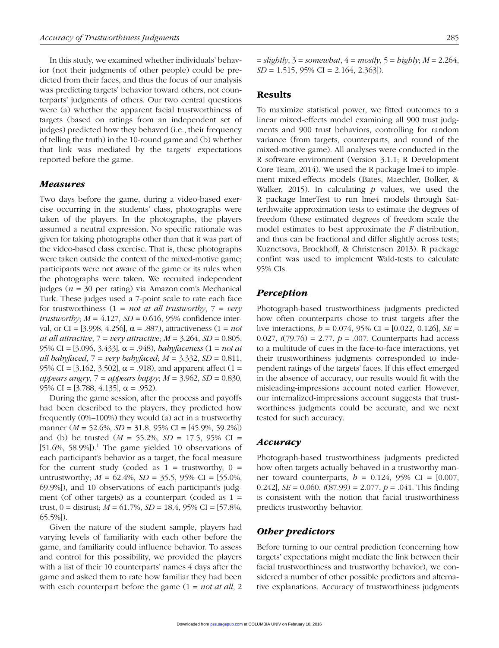In this study, we examined whether individuals' behavior (not their judgments of other people) could be predicted from their faces, and thus the focus of our analysis was predicting targets' behavior toward others, not counterparts' judgments of others. Our two central questions were (a) whether the apparent facial trustworthiness of targets (based on ratings from an independent set of judges) predicted how they behaved (i.e., their frequency of telling the truth) in the 10-round game and (b) whether that link was mediated by the targets' expectations reported before the game.

#### *Measures*

Two days before the game, during a video-based exercise occurring in the students' class, photographs were taken of the players. In the photographs, the players assumed a neutral expression. No specific rationale was given for taking photographs other than that it was part of the video-based class exercise. That is, these photographs were taken outside the context of the mixed-motive game; participants were not aware of the game or its rules when the photographs were taken. We recruited independent judges (*n* = 30 per rating) via Amazon.com's Mechanical Turk. These judges used a 7-point scale to rate each face for trustworthiness (1 = *not at all trustworthy*, 7 = *very trustworthy*;  $M = 4.127$ ,  $SD = 0.616$ , 95% confidence interval, or CI = [3.998, 4.256], α = .887), attractiveness (1 = *not at all attractive*,  $7 = \text{very attractive}$ ;  $M = 3.264$ ,  $SD = 0.805$ , 95% CI = [3.096, 3.433], α = .948), *babyfaceness* (1 = *not at all babyfaced*, 7 = *very babyfaced*; *M* = 3.332, *SD* = 0.811, 95% CI = [3.162, 3.502],  $\alpha$  = .918), and apparent affect (1 = *appears angry*, 7 = *appears happy*; *M* = 3.962, *SD* = 0.830, 95% CI =  $[3.788, 4.135]$ ,  $\alpha = .952$ ).

During the game session, after the process and payoffs had been described to the players, they predicted how frequently (0%–100%) they would (a) act in a trustworthy manner (*M* = 52.6%, *SD* = 31.8, 95% CI = [45.9%, 59.2%]) and (b) be trusted (*M* = 55.2%, *SD* = 17.5, 95% CI =  $[51.6\%, 58.9\%]$ .<sup>1</sup> The game yielded 10 observations of each participant's behavior as a target, the focal measure for the current study (coded as  $1 =$  trustworthy,  $0 =$ untrustworthy;  $M = 62.4\%$ ,  $SD = 35.5$ , 95% CI = [55.0%, 69.9%]), and 10 observations of each participant's judgment (of other targets) as a counterpart (coded as  $1 =$ trust, 0 = distrust; *M* = 61.7%, *SD* = 18.4, 95% CI = [57.8%, 65.5%]).

Given the nature of the student sample, players had varying levels of familiarity with each other before the game, and familiarity could influence behavior. To assess and control for this possibility, we provided the players with a list of their 10 counterparts' names 4 days after the game and asked them to rate how familiar they had been with each counterpart before the game  $(1 = not at all, 2)$   $=$  *slightly*,  $3 =$  *somewhat*,  $4 =$  *mostly*,  $5 =$  *highly*;  $M = 2.264$ , *SD* = 1.515, 95% CI = 2.164, 2.363]).

#### Results

To maximize statistical power, we fitted outcomes to a linear mixed-effects model examining all 900 trust judgments and 900 trust behaviors, controlling for random variance (from targets, counterparts, and round of the mixed-motive game). All analyses were conducted in the R software environment (Version 3.1.1; R Development Core Team, 2014). We used the R package lme4 to implement mixed-effects models (Bates, Maechler, Bolker, & Walker, 2015). In calculating *p* values, we used the R package lmerTest to run lme4 models through Satterthwaite approximation tests to estimate the degrees of freedom (these estimated degrees of freedom scale the model estimates to best approximate the *F* distribution, and thus can be fractional and differ slightly across tests; Kuznetsova, Brockhoff, & Christensen 2013). R package confint was used to implement Wald-tests to calculate 95% CIs.

## *Perception*

Photograph-based trustworthiness judgments predicted how often counterparts chose to trust targets after the live interactions, *b* = 0.074, 95% CI = [0.022, 0.126], *SE* = 0.027, *t*(79.76) = 2.77, *p =* .007. Counterparts had access to a multitude of cues in the face-to-face interactions, yet their trustworthiness judgments corresponded to independent ratings of the targets' faces. If this effect emerged in the absence of accuracy, our results would fit with the misleading-impressions account noted earlier. However, our internalized-impressions account suggests that trustworthiness judgments could be accurate, and we next tested for such accuracy.

## *Accuracy*

Photograph-based trustworthiness judgments predicted how often targets actually behaved in a trustworthy manner toward counterparts,  $b = 0.124$ , 95% CI =  $[0.007]$ , 0.242], *SE* = 0.060,  $t(87.99) = 2.077$ ,  $p = .041$ . This finding is consistent with the notion that facial trustworthiness predicts trustworthy behavior.

# *Other predictors*

Before turning to our central prediction (concerning how targets' expectations might mediate the link between their facial trustworthiness and trustworthy behavior), we considered a number of other possible predictors and alternative explanations. Accuracy of trustworthiness judgments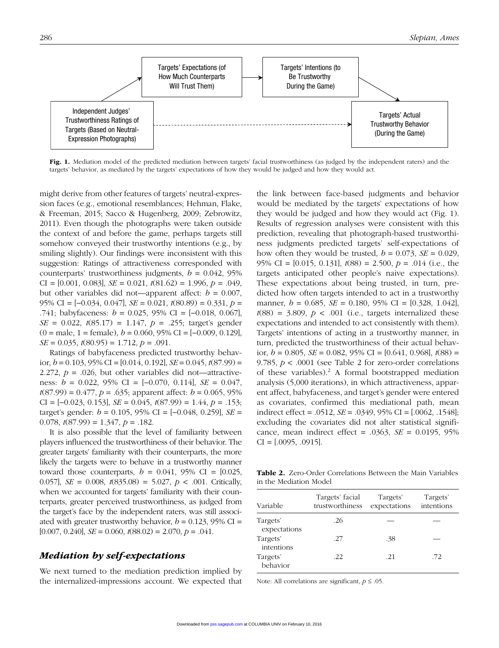Targets' Expectations (of How Much Counterparts Will Trust Them) Targets' Actual Trustworthy Behavior (During the Game) Independent Judges' Trustworthiness Ratings of Targets (Based on Neutral-Expression Photographs) Targets' Intentions (to Be Trustworthy During the Game)

Fig. 1. Mediation model of the predicted mediation between targets' facial trustworthiness (as judged by the independent raters) and the targets' behavior, as mediated by the targets' expectations of how they would be judged and how they would act.

might derive from other features of targets' neutral-expression faces (e.g., emotional resemblances; Hehman, Flake, & Freeman, 2015; Sacco & Hugenberg, 2009; Zebrowitz, 2011). Even though the photographs were taken outside the context of and before the game, perhaps targets still somehow conveyed their trustworthy intentions (e.g., by smiling slightly). Our findings were inconsistent with this suggestion: Ratings of attractiveness corresponded with counterparts' trustworthiness judgments,  $b = 0.042, 95\%$ CI = [0.001, 0.083], *SE* = 0.021, *t*(81.62) = 1.996, *p* = .049, but other variables did not—apparent affect:  $b = 0.007$ , 95% CI = [−0.034, 0.047], *SE* = 0.021, *t*(80.89) = 0.331, *p* = .741; babyfaceness: *b* = 0.025, 95% CI = [−0.018, 0.067], *SE* = 0.022, *t*(85.17) = 1.147, *p* = .255; target's gender (0 = male, 1 = female), *b* = 0.060, 95% CI = [−0.009, 0.129], *SE* = 0.035, *t*(80.95) = 1.712, *p* = .091.

Ratings of babyfaceness predicted trustworthy behavior, *b* = 0.103, 95% CI = [0.014, 0.192], *SE* = 0.045, *t*(87.99) = 2.272,  $p = .026$ , but other variables did not—attractiveness: *b* = 0.022, 95% CI = [−0.070, 0.114], *SE* = 0.047, *t*(87.99) = 0.477, *p* = .635; apparent affect: *b* = 0.065, 95% CI = [−0.023, 0.153], *SE* = 0.045, *t*(87.99) = 1.44, *p* = .153; target's gender: *b* = 0.105, 95% CI = [−0.048, 0.259], *SE* = 0.078,  $t(87.99) = 1.347$ ,  $p = .182$ .

It is also possible that the level of familiarity between players influenced the trustworthiness of their behavior. The greater targets' familiarity with their counterparts, the more likely the targets were to behave in a trustworthy manner toward those counterparts,  $b = 0.041$ , 95% CI = [0.025, 0.057], *SE* = 0.008, *t*(835.08) = 5.027, *p* < .001. Critically, when we accounted for targets' familiarity with their counterparts, greater perceived trustworthiness, as judged from the target's face by the independent raters, was still associated with greater trustworthy behavior,  $b = 0.123$ , 95% CI =  $[0.007, 0.240], SE = 0.060, t(88.02) = 2.070, p = .041.$ 

# *Mediation by self-expectations*

We next turned to the mediation prediction implied by the internalized-impressions account. We expected that the link between face-based judgments and behavior would be mediated by the targets' expectations of how they would be judged and how they would act (Fig. 1). Results of regression analyses were consistent with this prediction, revealing that photograph-based trustworthiness judgments predicted targets' self-expectations of how often they would be trusted,  $b = 0.073$ ,  $SE = 0.029$ , 95% CI = [0.015, 0.131], *t*(88) = 2.500, *p* = .014 (i.e., the targets anticipated other people's naive expectations). These expectations about being trusted, in turn, predicted how often targets intended to act in a trustworthy manner, *b* = 0.685, *SE* = 0.180, 95% CI = [0.328, 1.042],  $t(88) = 3.809$ ,  $p < .001$  (i.e., targets internalized these expectations and intended to act consistently with them). Targets' intentions of acting in a trustworthy manner, in turn, predicted the trustworthiness of their actual behavior, *b* = 0.805, *SE* = 0.082, 95% CI = [0.641, 0.968], *t*(88) = 9.785,  $p < .0001$  (see Table 2 for zero-order correlations of these variables).<sup>2</sup> A formal bootstrapped mediation analysis (5,000 iterations), in which attractiveness, apparent affect, babyfaceness, and target's gender were entered as covariates, confirmed this mediational path, mean indirect effect = .0512, *SE* = .0349, 95% CI = [.0062, .1548]; excluding the covariates did not alter statistical significance, mean indirect effect = .0363, *SE* = 0.0195, 95%  $CI = [.0095, .0915].$ 

Table 2. Zero-Order Correlations Between the Main Variables in the Mediation Model

| Variable                 | Targets' facial<br>trustworthiness | Targets'<br>expectations | Targets'<br>intentions |
|--------------------------|------------------------------------|--------------------------|------------------------|
| Targets'<br>expectations | .26                                |                          |                        |
| Targets'<br>intentions   | .27                                | .38                      |                        |
| Targets'<br>behavior     | .22                                | .21                      | .72                    |

Note: All correlations are significant,  $p \leq 0.05$ .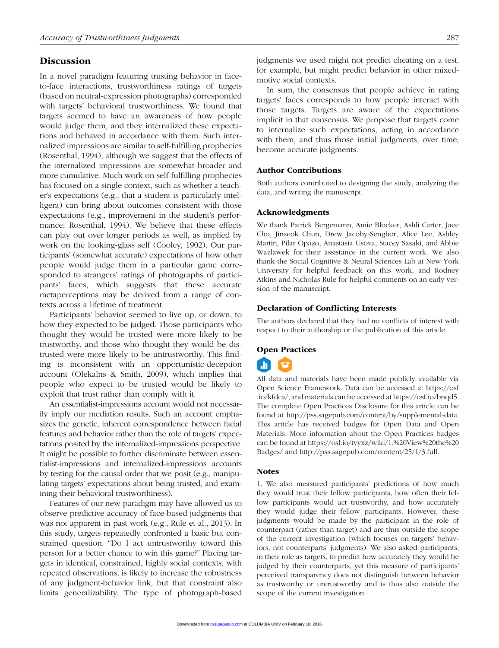# **Discussion**

In a novel paradigm featuring trusting behavior in faceto-face interactions, trustworthiness ratings of targets (based on neutral-expression photographs) corresponded with targets' behavioral trustworthiness. We found that targets seemed to have an awareness of how people would judge them, and they internalized these expectations and behaved in accordance with them. Such internalized impressions are similar to self-fulfilling prophecies (Rosenthal, 1994), although we suggest that the effects of the internalized impressions are somewhat broader and more cumulative. Much work on self-fulfilling prophecies has focused on a single context, such as whether a teacher's expectations (e.g., that a student is particularly intelligent) can bring about outcomes consistent with those expectations (e.g., improvement in the student's performance; Rosenthal, 1994). We believe that these effects can play out over longer periods as well, as implied by work on the looking-glass self (Cooley, 1902). Our participants' (somewhat accurate) expectations of how other people would judge them in a particular game corresponded to strangers' ratings of photographs of participants' faces, which suggests that these accurate metaperceptions may be derived from a range of contexts across a lifetime of treatment.

Participants' behavior seemed to live up, or down, to how they expected to be judged. Those participants who thought they would be trusted were more likely to be trustworthy, and those who thought they would be distrusted were more likely to be untrustworthy. This finding is inconsistent with an opportunistic-deception account (Olekalns & Smith, 2009), which implies that people who expect to be trusted would be likely to exploit that trust rather than comply with it.

An essentialist-impressions account would not necessarily imply our mediation results. Such an account emphasizes the genetic, inherent correspondence between facial features and behavior rather than the role of targets' expectations posited by the internalized-impressions perspective. It might be possible to further discriminate between essentialist-impressions and internalized-impressions accounts by testing for the causal order that we posit (e.g., manipulating targets' expectations about being trusted, and examining their behavioral trustworthiness).

Features of our new paradigm may have allowed us to observe predictive accuracy of face-based judgments that was not apparent in past work (e.g., Rule et al., 2013). In this study, targets repeatedly confronted a basic but constrained question: "Do I act untrustworthy toward this person for a better chance to win this game?" Placing targets in identical, constrained, highly social contexts, with repeated observations, is likely to increase the robustness of any judgment-behavior link, but that constraint also limits generalizability. The type of photograph-based judgments we used might not predict cheating on a test, for example, but might predict behavior in other mixedmotive social contexts.

In sum, the consensus that people achieve in rating targets' faces corresponds to how people interact with those targets. Targets are aware of the expectations implicit in that consensus. We propose that targets come to internalize such expectations, acting in accordance with them, and thus those initial judgments, over time, become accurate judgments.

#### Author Contributions

Both authors contributed to designing the study, analyzing the data, and writing the manuscript.

#### Acknowledgments

We thank Patrick Bergemann, Amie Blocker, Ashli Carter, Jaee Cho, Jinseok Chun, Drew Jacoby-Senghor, Alice Lee, Ashley Martin, Pilar Opazo, Anastasia Usova, Stacey Sasaki, and Abbie Wazlawek for their assistance in the current work. We also thank the Social Cognitive & Neural Sciences Lab at New York University for helpful feedback on this work, and Rodney Atkins and Nicholas Rule for helpful comments on an early version of the manuscript.

#### Declaration of Conflicting Interests

The authors declared that they had no conflicts of interest with respect to their authorship or the publication of this article.

# Open Practices



All data and materials have been made publicly available via Open Science Framework. Data can be accessed at [https://osf](https://osf.io/kfdca/) [.io/kfdca/](https://osf.io/kfdca/), and materials can be accessed at https://osf.io/bnqd5. The complete Open Practices Disclosure for this article can be found at http://pss.sagepub.com/content/by/supplemental-data. This article has received badges for Open Data and Open Materials. More information about the Open Practices badges can be found at [https://osf.io/tvyxz/wiki/1.%20View%20the%20](https://osf.io/tvyxz/wiki/1.%20View%20the%20Badges/) [Badges/](https://osf.io/tvyxz/wiki/1.%20View%20the%20Badges/) and http://pss.sagepub.com/content/25/1/3.full.

#### Notes

1. We also measured participants' predictions of how much they would trust their fellow participants, how often their fellow participants would act trustworthy, and how accurately they would judge their fellow participants. However, these judgments would be made by the participant in the role of counterpart (rather than target) and are thus outside the scope of the current investigation (which focuses on targets' behaviors, not counterparts' judgments). We also asked participants, in their role as targets, to predict how accurately they would be judged by their counterparts, yet this measure of participants' perceived transparency does not distinguish between behavior as trustworthy or untrustworthy and is thus also outside the scope of the current investigation.